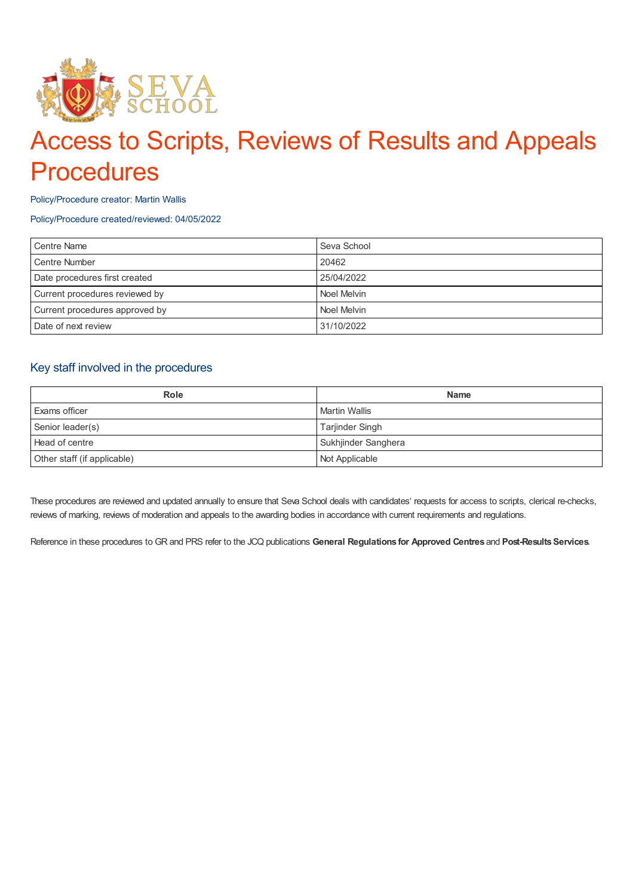

# Access to Scripts, Reviews of Results and Appeals **Procedures**

Policy/Procedure creator: Martin Wallis

Policy/Procedure created/reviewed: 04/05/2022

| Centre Name                    | Seva School |
|--------------------------------|-------------|
| <b>Centre Number</b>           | 20462       |
| Date procedures first created  | 25/04/2022  |
| Current procedures reviewed by | Noel Melvin |
| Current procedures approved by | Noel Melvin |
| Date of next review            | 31/10/2022  |

# Key staff involved in the procedures

| <b>Role</b>                 | <b>Name</b>          |
|-----------------------------|----------------------|
| Exams officer               | <b>Martin Wallis</b> |
| Senior leader(s)            | Tarjinder Singh      |
| Head of centre              | Sukhjinder Sanghera  |
| Other staff (if applicable) | Not Applicable       |

These procedures are reviewed and updated annually to ensure that Seva School deals with candidates' requests for access to scripts, clerical re-checks, reviews of marking, reviews of moderation and appeals to the awarding bodies in accordance with current requirements and regulations.

Reference in these procedures to GR and PRS refer to the JCQ publications **General Regulations for Approved Centres** and **Post-ResultsServices**.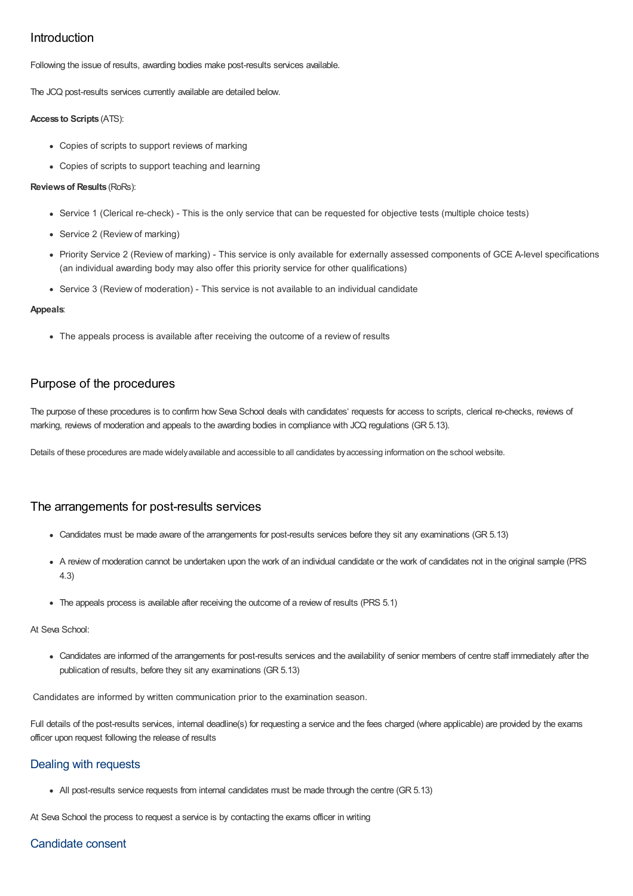# Introduction

Following the issue of results, awarding bodies make post-results services available.

The JCQ post-results services currently available are detailed below.

#### **Access to Scripts** (ATS):

- Copies of scripts to support reviews of marking
- Copies of scripts to support teaching and learning

#### **Reviewsof Results** (RoRs):

- Service 1 (Clerical re-check) This is the only service that can be requested for objective tests (multiple choice tests)
- Service 2 (Review of marking)
- Priority Service 2 (Review of marking) This service is only available for externally assessed components of GCE A-level specifications (an individual awarding body may also offer this priority service for other qualifications)
- Service 3 (Review of moderation) This service is not available to an individual candidate

#### **Appeals**:

• The appeals process is available after receiving the outcome of a review of results

# Purpose of the procedures

The purpose of these procedures is to confirm how Seva School deals with candidates' requests for access to scripts, clerical re-checks, reviews of marking, reviews of moderation and appeals to the awarding bodies in compliance with JCQ regulations (GR 5.13).

Details of these procedures are made widelyavailable and accessible to all candidates byaccessing information on the school website.

# The arrangements for post-results services

- Candidates must be made aware of the arrangements for post-results services before they sit any examinations (GR 5.13)
- A review of moderation cannot be undertaken upon the work of an individual candidate or the work of candidates not in the original sample (PRS 4.3)
- The appeals process is available after receiving the outcome of a review of results (PRS 5.1)

#### At Seva School:

Candidates are informed of the arrangements for post-results services and the availability of senior members of centre staff immediately after the publication of results, before they sit any examinations (GR 5.13)

Candidates are informed by written communication prior to the examination season.

Full details of the post-results services, internal deadline(s) for requesting a service and the fees charged (where applicable) are provided by the exams officer upon request following the release of results

## Dealing with requests

• All post-results service requests from internal candidates must be made through the centre (GR 5.13)

At Seva School the process to request a service is by contacting the exams officer in writing

## Candidate consent